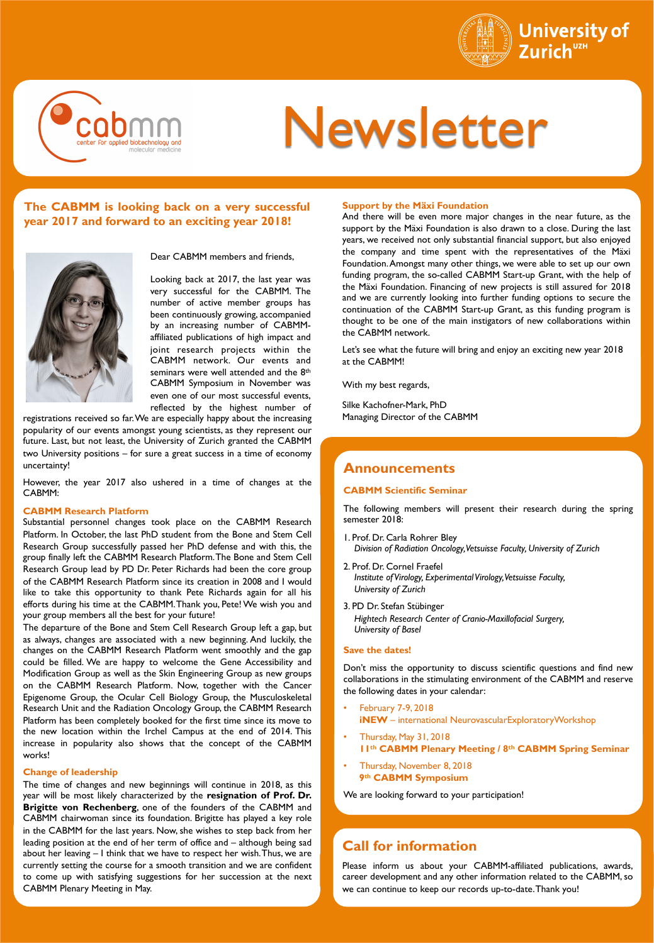



# Newsletter

## **The CABMM is looking back on a very successful year 2017 and forward to an exciting year 2018!**



Dear CABMM members and friends,

Looking back at 2017, the last year was very successful for the CABMM. The number of active member groups has been continuously growing, accompanied by an increasing number of CABMMaffiliated publications of high impact and joint research projects within the CABMM network. Our events and seminars were well attended and the 8<sup>th</sup> CABMM Symposium in November was even one of our most successful events, reflected by the highest number of

registrations received so far. We are especially happy about the increasing popularity of our events amongst young scientists, as they represent our future. Last, but not least, the University of Zurich granted the CABMM two University positions – for sure a great success in a time of economy uncertainty!

However, the year 2017 also ushered in a time of changes at the CABMM:

## **CABMM Research Platform**

Substantial personnel changes took place on the CABMM Research Platform. In October, the last PhD student from the Bone and Stem Cell Research Group successfully passed her PhD defense and with this, the group finally left the CABMM Research Platform. The Bone and Stem Cell Research Group lead by PD Dr. Peter Richards had been the core group of the CABMM Research Platform since its creation in 2008 and I would like to take this opportunity to thank Pete Richards again for all his efforts during his time at the CABMM. Thank you, Pete! We wish you and your group members all the best for your future!

The departure of the Bone and Stem Cell Research Group left a gap, but as always, changes are associated with a new beginning. And luckily, the changes on the CABMM Research Platform went smoothly and the gap could be filled. We are happy to welcome the Gene Accessibility and Modification Group as well as the Skin Engineering Group as new groups on the CABMM Research Platform. Now, together with the Cancer Epigenome Group, the Ocular Cell Biology Group, the Musculoskeletal Research Unit and the Radiation Oncology Group, the CABMM Research Platform has been completely booked for the first time since its move to the new location within the Irchel Campus at the end of 2014. This increase in popularity also shows that the concept of the CABMM works!

#### **Change of leadership**

The time of changes and new beginnings will continue in 2018, as this year will be most likely characterized by the **resignation of Prof. Dr. Brigitte von Rechenberg**, one of the founders of the CABMM and CABMM chairwoman since its foundation. Brigitte has played a key role in the CABMM for the last years. Now, she wishes to step back from her leading position at the end of her term of office and – although being sad about her leaving – I think that we have to respect her wish. Thus, we are currently setting the course for a smooth transition and we are confident to come up with satisfying suggestions for her succession at the next CABMM Plenary Meeting in May.

#### **Support by the Mäxi Foundation**

And there will be even more major changes in the near future, as the support by the Mäxi Foundation is also drawn to a close. During the last years, we received not only substantial financial support, but also enjoyed the company and time spent with the representatives of the Mäxi Foundation. Amongst many other things, we were able to set up our own funding program, the so-called CABMM Start-up Grant, with the help of the Mäxi Foundation. Financing of new projects is still assured for 2018 and we are currently looking into further funding options to secure the continuation of the CABMM Start-up Grant, as this funding program is thought to be one of the main instigators of new collaborations within the CABMM network.

Let's see what the future will bring and enjoy an exciting new year 2018 at the CABMM!

With my best regards,

Silke Kachofner-Mark, PhD Managing Director of the CABMM

## **Announcements**

#### **CABMM Scientific Seminar**

The following members will present their research during the spring semester 2018:

- 1. Prof. Dr. Carla Rohrer Bley *Division of Radiation Oncology, Vetsuisse Faculty, University of Zurich*
- 2. Prof. Dr. Cornel Fraefel *Institute of Virology, Experimental Virology, Vetsuisse Faculty, University of Zurich*
- 3. PD Dr. Stefan Stübinger *Hightech Research Center of Cranio-Maxillofacial Surgery, University of Basel*

## **Save the dates!**

Don't miss the opportunity to discuss scientific questions and find new collaborations in the stimulating environment of the CABMM and reserve the following dates in your calendar:

- February 7-9, 2018
	- **iNEW** international NeurovascularExploratoryWorkshop
- Thursday, May 31, 2018 **11th CABMM Plenary Meeting / 8th CABMM Spring Seminar**
- Thursday, November 8, 2018 **9th CABMM Symposium**

We are looking forward to your participation!

## **Call for information**

Please inform us about your CABMM-affiliated publications, awards, career development and any other information related to the CABMM, so we can continue to keep our records up-to-date. Thank you!